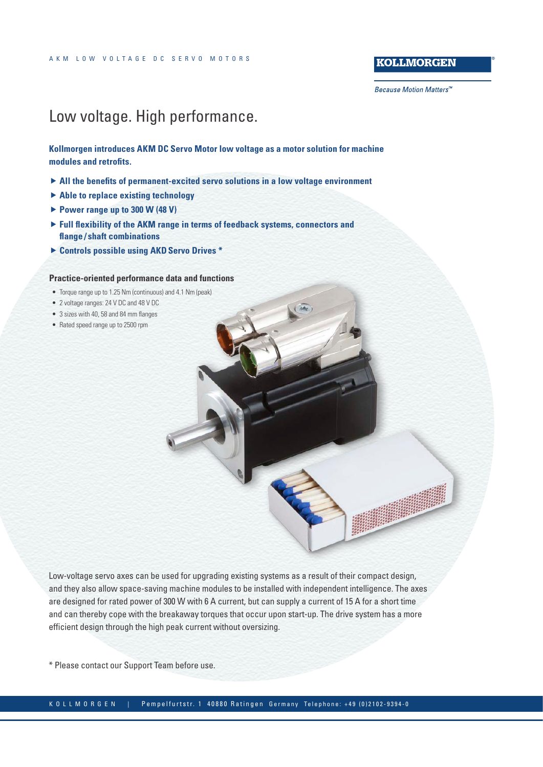### **KOLLMORGEN**

**Because Motion Matters™** 

### Low voltage. High performance.

**Kollmorgen introduces [AKM DC Servo Motor low voltage](http://www.kollmorgen.com/en-gb/products/motors/servo/akm-series/akm-low-voltage-servo-motor/akm-dc-servo-motor-low-voltage/) as a motor solution for machine modules and retrofits.**

- ▶ All the benefits of permanent-excited servo solutions in a low voltage environment
- $\blacktriangleright$  **Able to replace existing technology**
- ▶ Power range up to 300 W (48 V)
- **Full flexibility of the AKM range in terms of feedback systems, connectors and flange / shaft combinations**
- f **Controls possible using AKD[Servo Drives](http://www.kollmorgen.com/en-gb/products/drives/servo/servo-drives/) \***

#### **Practice-oriented performance data and functions**

- Torque range up to 1.25 Nm (continuous) and 4.1 Nm (peak)
- 2 voltage ranges: 24 V DC and 48 V DC
- 3 sizes with 40, 58 and 84 mm flanges
- Rated speed range up to 2500 rpm

Low-voltage servo axes can be used for upgrading existing systems as a result of their compact design, and they also allow space-saving machine modules to be installed with independent intelligence. The axes are designed for rated power of 300 W with 6 A current, but can supply a current of 15 A for a short time and can thereby cope with the breakaway torques that occur upon start-up. The drive system has a more efficient design through the high peak current without oversizing.

\* Please contact our Support Team before use.